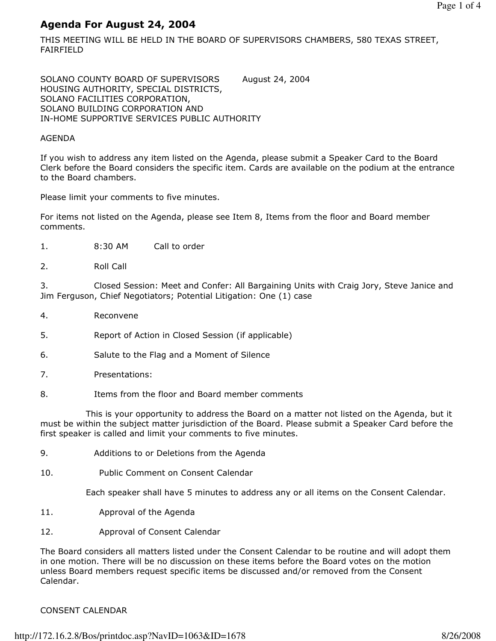# Agenda For August 24, 2004

THIS MEETING WILL BE HELD IN THE BOARD OF SUPERVISORS CHAMBERS, 580 TEXAS STREET, FAIRFIELD

SOLANO COUNTY BOARD OF SUPERVISORS August 24, 2004 HOUSING AUTHORITY, SPECIAL DISTRICTS, SOLANO FACILITIES CORPORATION, SOLANO BUILDING CORPORATION AND IN-HOME SUPPORTIVE SERVICES PUBLIC AUTHORITY

## AGENDA

If you wish to address any item listed on the Agenda, please submit a Speaker Card to the Board Clerk before the Board considers the specific item. Cards are available on the podium at the entrance to the Board chambers.

Please limit your comments to five minutes.

For items not listed on the Agenda, please see Item 8, Items from the floor and Board member comments.

- 1. 8:30 AM Call to order
- 2. Roll Call

3. Closed Session: Meet and Confer: All Bargaining Units with Craig Jory, Steve Janice and Jim Ferguson, Chief Negotiators; Potential Litigation: One (1) case

- 4. Reconvene
- 5. Report of Action in Closed Session (if applicable)
- 6. Salute to the Flag and a Moment of Silence
- 7. Presentations:
- 8. Items from the floor and Board member comments

 This is your opportunity to address the Board on a matter not listed on the Agenda, but it must be within the subject matter jurisdiction of the Board. Please submit a Speaker Card before the first speaker is called and limit your comments to five minutes.

- 9. Additions to or Deletions from the Agenda
- 10. Public Comment on Consent Calendar

Each speaker shall have 5 minutes to address any or all items on the Consent Calendar.

- 11. Approval of the Agenda
- 12. Approval of Consent Calendar

The Board considers all matters listed under the Consent Calendar to be routine and will adopt them in one motion. There will be no discussion on these items before the Board votes on the motion unless Board members request specific items be discussed and/or removed from the Consent Calendar.

## CONSENT CALENDAR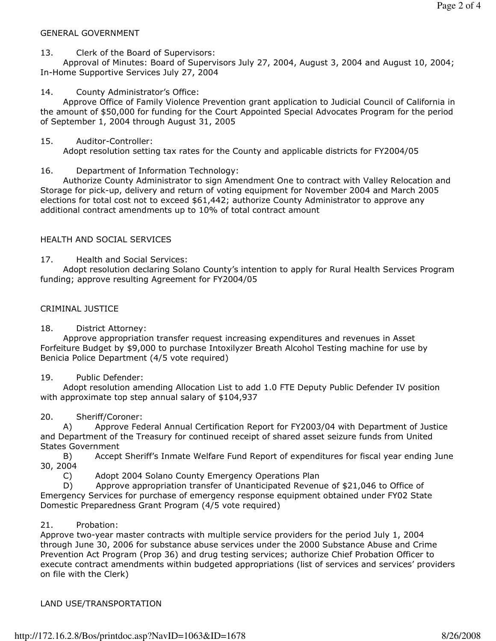#### GENERAL GOVERNMENT

13. Clerk of the Board of Supervisors:

 Approval of Minutes: Board of Supervisors July 27, 2004, August 3, 2004 and August 10, 2004; In-Home Supportive Services July 27, 2004

14. County Administrator's Office:

 Approve Office of Family Violence Prevention grant application to Judicial Council of California in the amount of \$50,000 for funding for the Court Appointed Special Advocates Program for the period of September 1, 2004 through August 31, 2005

### 15. Auditor-Controller:

Adopt resolution setting tax rates for the County and applicable districts for FY2004/05

## 16. Department of Information Technology:

 Authorize County Administrator to sign Amendment One to contract with Valley Relocation and Storage for pick-up, delivery and return of voting equipment for November 2004 and March 2005 elections for total cost not to exceed \$61,442; authorize County Administrator to approve any additional contract amendments up to 10% of total contract amount

## HEALTH AND SOCIAL SERVICES

17. Health and Social Services:

 Adopt resolution declaring Solano County's intention to apply for Rural Health Services Program funding; approve resulting Agreement for FY2004/05

### CRIMINAL JUSTICE

18. District Attorney:

 Approve appropriation transfer request increasing expenditures and revenues in Asset Forfeiture Budget by \$9,000 to purchase Intoxilyzer Breath Alcohol Testing machine for use by Benicia Police Department (4/5 vote required)

## 19. Public Defender:

 Adopt resolution amending Allocation List to add 1.0 FTE Deputy Public Defender IV position with approximate top step annual salary of \$104,937

## 20. Sheriff/Coroner:

 A) Approve Federal Annual Certification Report for FY2003/04 with Department of Justice and Department of the Treasury for continued receipt of shared asset seizure funds from United States Government

 B) Accept Sheriff's Inmate Welfare Fund Report of expenditures for fiscal year ending June 30, 2004

C) Adopt 2004 Solano County Emergency Operations Plan

 D) Approve appropriation transfer of Unanticipated Revenue of \$21,046 to Office of Emergency Services for purchase of emergency response equipment obtained under FY02 State Domestic Preparedness Grant Program (4/5 vote required)

## 21. Probation:

Approve two-year master contracts with multiple service providers for the period July 1, 2004 through June 30, 2006 for substance abuse services under the 2000 Substance Abuse and Crime Prevention Act Program (Prop 36) and drug testing services; authorize Chief Probation Officer to execute contract amendments within budgeted appropriations (list of services and services' providers on file with the Clerk)

## LAND USE/TRANSPORTATION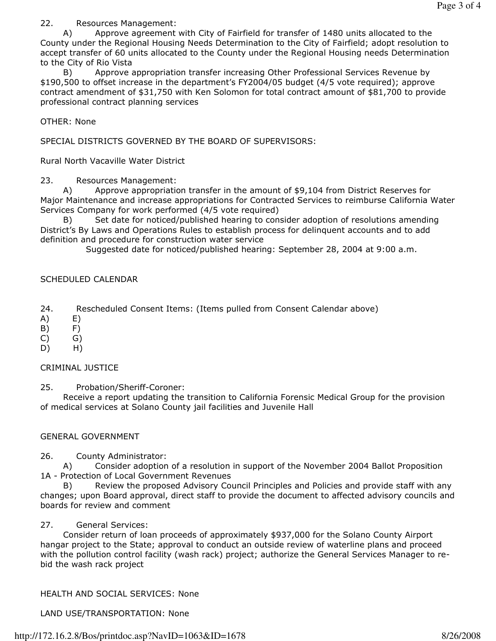22. Resources Management:

 A) Approve agreement with City of Fairfield for transfer of 1480 units allocated to the County under the Regional Housing Needs Determination to the City of Fairfield; adopt resolution to accept transfer of 60 units allocated to the County under the Regional Housing needs Determination to the City of Rio Vista

 B) Approve appropriation transfer increasing Other Professional Services Revenue by \$190,500 to offset increase in the department's FY2004/05 budget (4/5 vote required); approve contract amendment of \$31,750 with Ken Solomon for total contract amount of \$81,700 to provide professional contract planning services

OTHER: None

SPECIAL DISTRICTS GOVERNED BY THE BOARD OF SUPERVISORS:

Rural North Vacaville Water District

23. Resources Management:

A) Approve appropriation transfer in the amount of \$9,104 from District Reserves for Major Maintenance and increase appropriations for Contracted Services to reimburse California Water Services Company for work performed (4/5 vote required)

 B) Set date for noticed/published hearing to consider adoption of resolutions amending District's By Laws and Operations Rules to establish process for delinquent accounts and to add definition and procedure for construction water service

Suggested date for noticed/published hearing: September 28, 2004 at 9:00 a.m.

### SCHEDULED CALENDAR

24. Rescheduled Consent Items: (Items pulled from Consent Calendar above)

- A) E)
- B) F)
- $(C)$   $G)$
- D) H)

#### CRIMINAL JUSTICE

25. Probation/Sheriff-Coroner:

 Receive a report updating the transition to California Forensic Medical Group for the provision of medical services at Solano County jail facilities and Juvenile Hall

#### GENERAL GOVERNMENT

26. County Administrator:

 A) Consider adoption of a resolution in support of the November 2004 Ballot Proposition 1A - Protection of Local Government Revenues

 B) Review the proposed Advisory Council Principles and Policies and provide staff with any changes; upon Board approval, direct staff to provide the document to affected advisory councils and boards for review and comment

#### 27. General Services:

 Consider return of loan proceeds of approximately \$937,000 for the Solano County Airport hangar project to the State; approval to conduct an outside review of waterline plans and proceed with the pollution control facility (wash rack) project; authorize the General Services Manager to rebid the wash rack project

HEALTH AND SOCIAL SERVICES: None

LAND USE/TRANSPORTATION: None